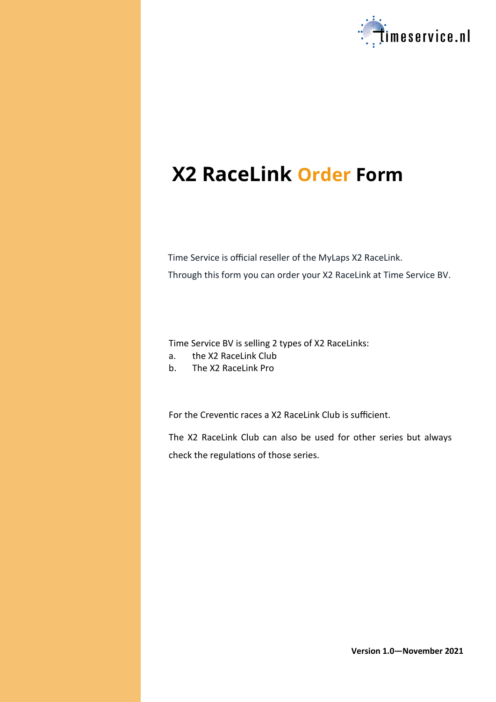

# **X2 RaceLink Order Form**

Time Service is official reseller of the MyLaps X2 RaceLink. Through this form you can order your X2 RaceLink at Time Service BV.

Time Service BV is selling 2 types of X2 RaceLinks:

- a. the X2 RaceLink Club
- b. The X2 RaceLink Pro

For the Creventic races a X2 RaceLink Club is sufficient.

The X2 RaceLink Club can also be used for other series but always check the regulations of those series.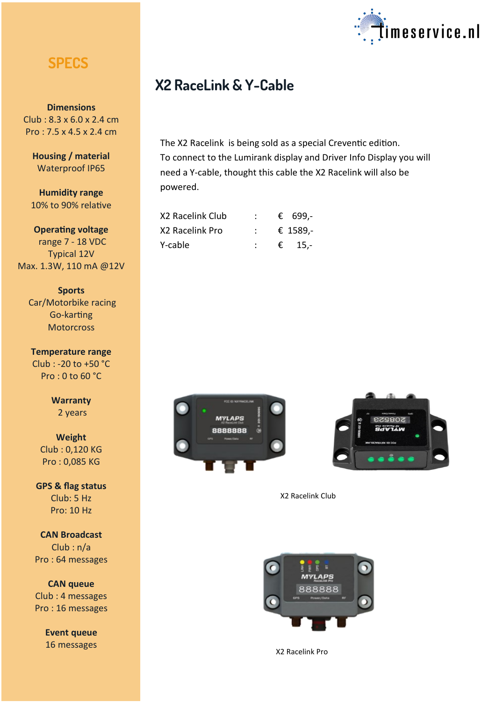## **SPECS**

**Dimensions** Club : 8.3 x 6.0 x 2.4 cm Pro : 7.5 x 4.5 x 2.4 cm

**Housing / material** Waterproof IP65

**Humidity range** 10% to 90% relative

**Operating voltage** range 7 - 18 VDC Typical 12V Max. 1.3W, 110 mA @12V

**Sports** Car/Motorbike racing Go-karting **Motorcross** 

**Temperature range** Club : -20 to +50 °C Pro : 0 to 60 °C

> **Warranty** 2 years

**Weight** Club : 0,120 KG Pro : 0,085 KG

**GPS & flag status** Club: 5 Hz Pro: 10 Hz

**CAN Broadcast** Club : n/a Pro : 64 messages

**CAN queue** Club : 4 messages Pro : 16 messages

> **Event queue** 16 messages



## **X2 RaceLink & Y-Cable**

The X2 Racelink is being sold as a special Creventic edition. To connect to the Lumirank display and Driver Info Display you will need a Y-cable, thought this cable the X2 Racelink will also be powered.

| X2 Racelink Club |  | € 699,-  |
|------------------|--|----------|
| X2 Racelink Pro  |  | € 1589,- |
| Y-cable          |  | € 15,-   |





X2 Racelink Club



X2 Racelink Pro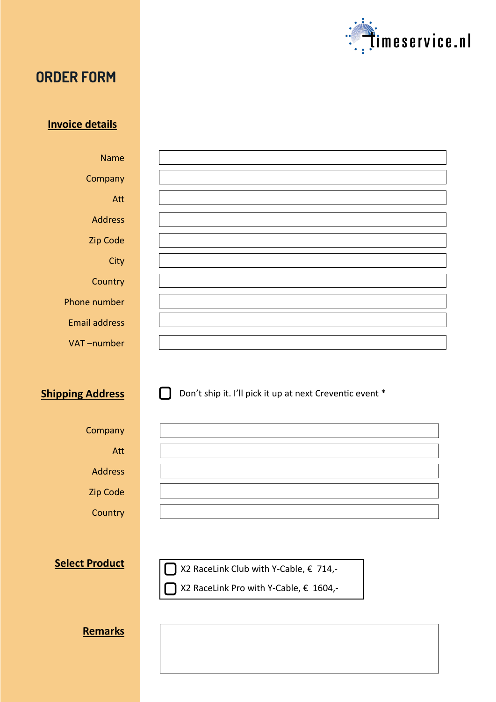

## **ORDER FORM**

### **Invoice details**

Name **Company** Att Address Zip Code **City Country** Phone number Email address

VAT –number

**Shipping Address** 

Don't ship it. I'll pick it up at next Creventic event \*

Company

Att

Address

Zip Code

**Country** 

**Select Product**

X2 RaceLink Club with Y-Cable, € 714,-

X2 RaceLink Pro with Y-Cable, € 1604,-

**Remarks**